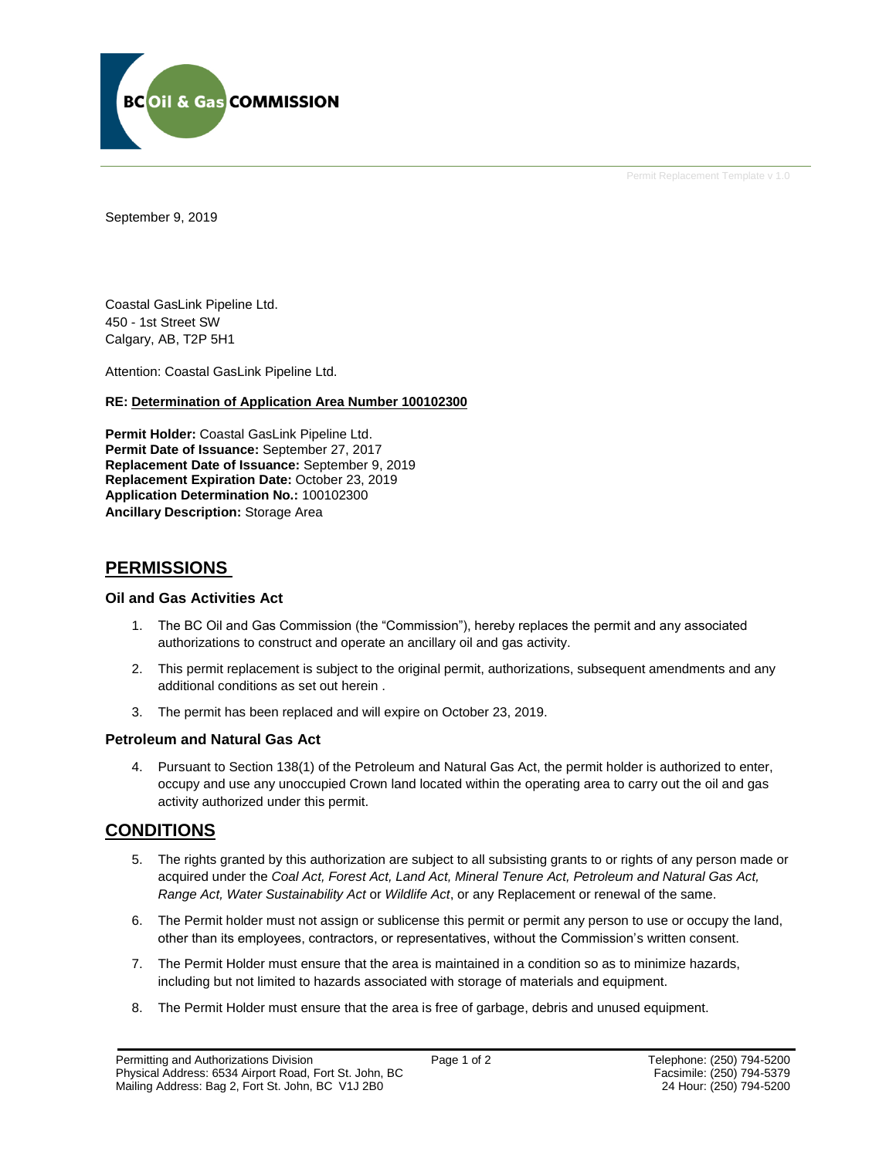

Permit Replacement Template v 1.0

September 9, 2019

Coastal GasLink Pipeline Ltd. 450 - 1st Street SW Calgary, AB, T2P 5H1

Attention: Coastal GasLink Pipeline Ltd.

#### **RE: Determination of Application Area Number 100102300**

**Permit Holder:** Coastal GasLink Pipeline Ltd. **Permit Date of Issuance:** September 27, 2017 **Replacement Date of Issuance:** September 9, 2019 **Replacement Expiration Date:** October 23, 2019 **Application Determination No.:** 100102300 **Ancillary Description:** Storage Area

## **PERMISSIONS**

#### **Oil and Gas Activities Act**

- 1. The BC Oil and Gas Commission (the "Commission"), hereby replaces the permit and any associated authorizations to construct and operate an ancillary oil and gas activity.
- 2. This permit replacement is subject to the original permit, authorizations, subsequent amendments and any additional conditions as set out herein .
- 3. The permit has been replaced and will expire on October 23, 2019.

#### **Petroleum and Natural Gas Act**

4. Pursuant to Section 138(1) of the Petroleum and Natural Gas Act, the permit holder is authorized to enter, occupy and use any unoccupied Crown land located within the operating area to carry out the oil and gas activity authorized under this permit.

## **CONDITIONS**

- 5. The rights granted by this authorization are subject to all subsisting grants to or rights of any person made or acquired under the *Coal Act, Forest Act, Land Act, Mineral Tenure Act, Petroleum and Natural Gas Act, Range Act, Water Sustainability Act* or *Wildlife Act*, or any Replacement or renewal of the same.
- 6. The Permit holder must not assign or sublicense this permit or permit any person to use or occupy the land, other than its employees, contractors, or representatives, without the Commission's written consent.
- 7. The Permit Holder must ensure that the area is maintained in a condition so as to minimize hazards, including but not limited to hazards associated with storage of materials and equipment.
- 8. The Permit Holder must ensure that the area is free of garbage, debris and unused equipment.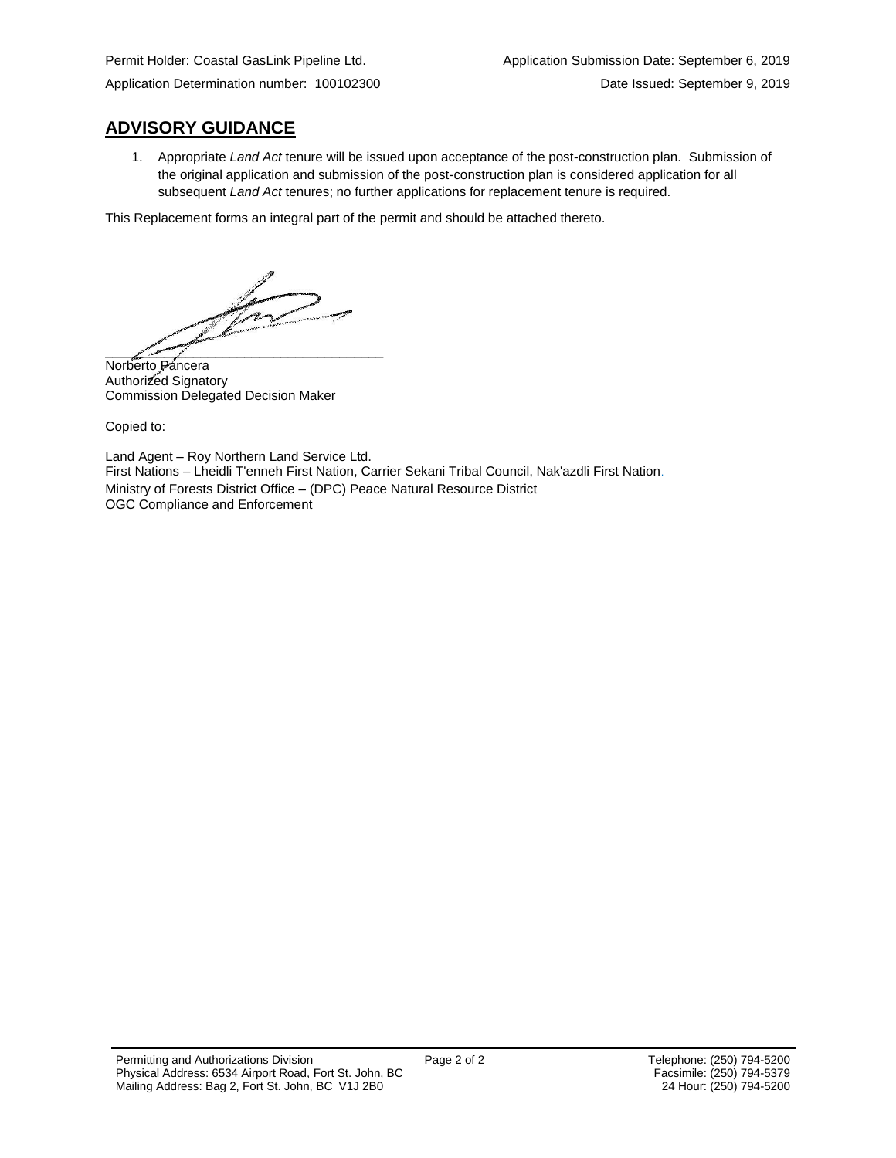Application Determination number: 100102300 Date Issued: September 9, 2019

## **ADVISORY GUIDANCE**

1. Appropriate *Land Act* tenure will be issued upon acceptance of the post-construction plan. Submission of the original application and submission of the post-construction plan is considered application for all subsequent *Land Act* tenures; no further applications for replacement tenure is required.

This Replacement forms an integral part of the permit and should be attached thereto.

 $\rightarrow$  $\frac{1}{\sqrt{2\pi}}$ 

Norberto Páncera Authorized Signatory Commission Delegated Decision Maker

Copied to:

Land Agent – Roy Northern Land Service Ltd. First Nations – Lheidli T'enneh First Nation, Carrier Sekani Tribal Council, Nak'azdli First Nation. Ministry of Forests District Office – (DPC) Peace Natural Resource District OGC Compliance and Enforcement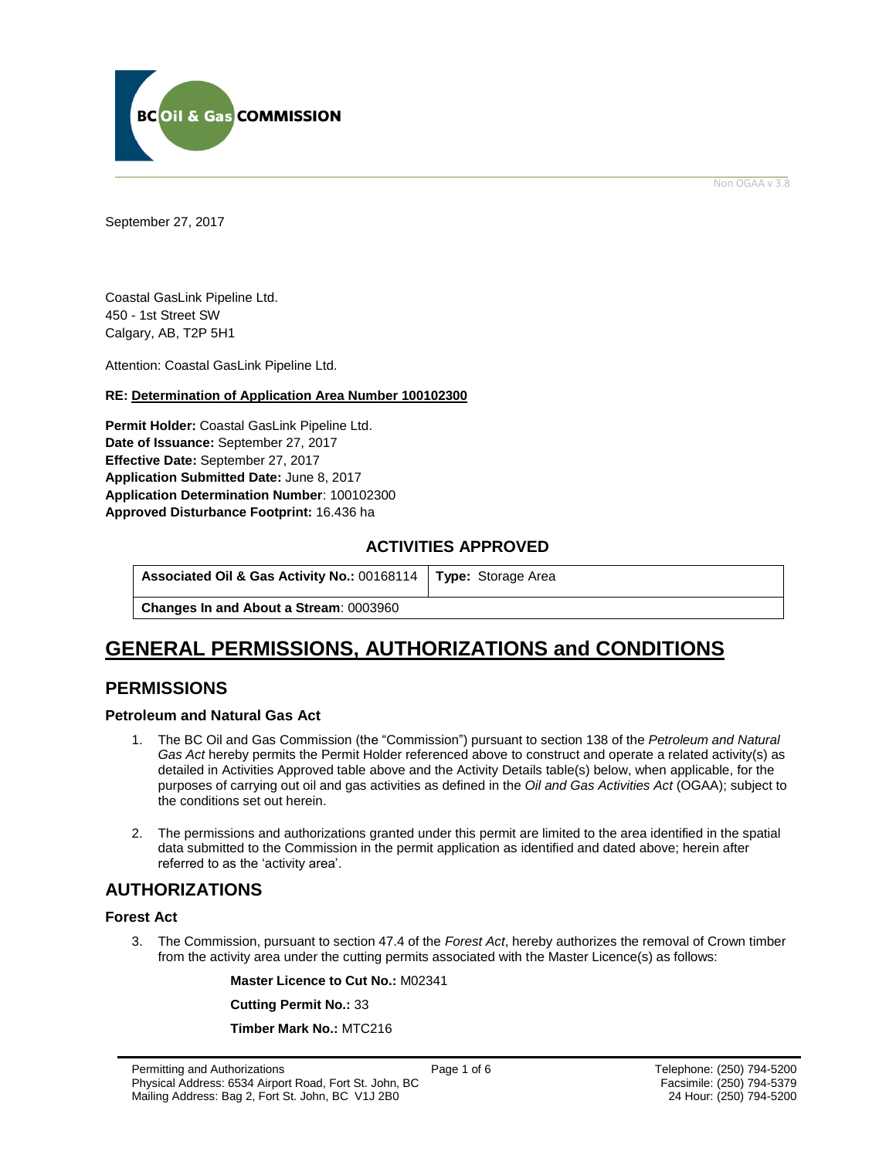

Non OGAA v 3.8

<span id="page-2-0"></span>September 27, 2017

Coastal GasLink Pipeline Ltd. 450 - 1st Street SW Calgary, AB, T2P 5H1

Attention: Coastal GasLink Pipeline Ltd.

#### **RE: Determination of Application Area Number 100102300**

**Permit Holder:** Coastal GasLink Pipeline Ltd. **Date of Issuance:** September 27, 2017 **Effective Date:** September 27, 2017 **Application Submitted Date:** June 8, 2017 **Application Determination Number**: 100102300 **[Approved Disturbance Footprint:](#page-2-0)** 16.436 ha

### **ACTIVITIES APPROVED**

**Associated Oil & Gas Activity No.:** 00168114 **[Type:](https://bi.bcogc.ca/Application%20Processing/Interactive%20Reports/(BIL-041)%20AMS%20Decision%20Summary.aspx)** Storage Area

**Changes In and About a Stream**: 0003960

# **GENERAL [PERMISSIONS,](#page-2-0) AUTHORIZATIONS and CONDITIONS**

## **PERMISSIONS**

#### **Petroleum and Natural Gas Act**

- 1. The BC Oil and Gas Commission (the "Commission") pursuant to section 138 of the *Petroleum and Natural Gas Act* hereby permits the Permit Holder referenced above to construct and operate a related activity(s) as detailed in Activities Approved table above and the Activity Details table(s) below, when applicable, for the purposes of carrying out oil and gas activities as defined in the *Oil and Gas Activities Act* (OGAA); subject to the conditions set out herein.
- 2. The [permissions](#page-2-0) and authorizations granted under this permit are limited to the area identified in the spatial data submitted to the Commission in the permit application as identified and dated above; herein after referred to as the 'activity area'.

## **AUTHORIZATIONS**

#### **Forest Act**

3. The Commission, pursuant to section 47.4 of the *Forest Act*, hereby [authorizes](#page-2-0) the removal of Crown timber from the activity area under the cutting permits associated with the Master Licence(s) as follows:

**Master Licence to Cut No.:** M02341

**Cutting Permit No.:** 33

**Timber Mark No.:** MTC216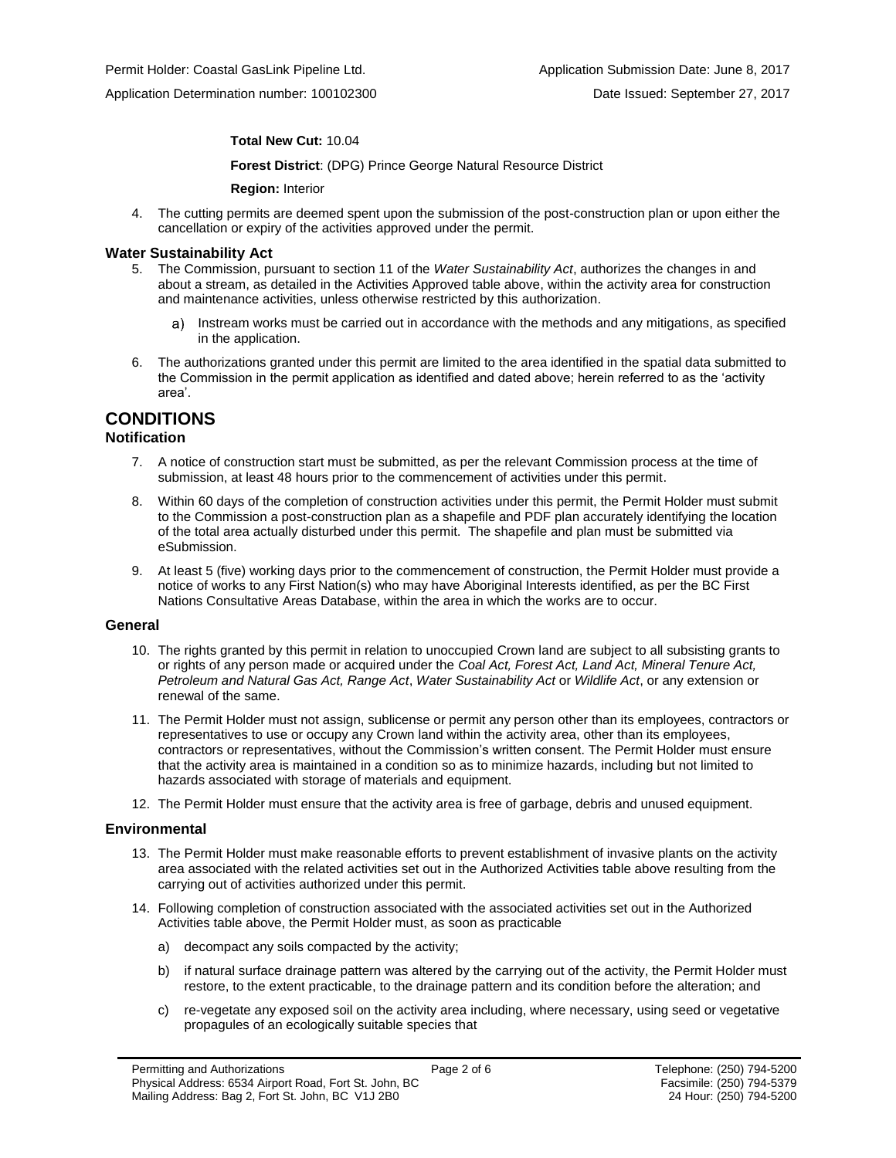Application Determination number: 100102300 Date Issued: September 27, 2017

#### **Total New Cut:** 10.04

**[Forest District](https://ams-crd.bcogc.ca/crd/)**: (DPG) Prince George Natural Resource District

**Region:** Interior

4. The cutting permits are deemed spent upon the submission of the post-construction plan or upon either the cancellation or expiry of the activities [approve](#page-2-0)d under the permit.

#### **Water Sustainability Act**

- 5. The Commission, pursuant to section 11 of the *Water Sustainability Act*[, authorizes](#page-2-0) the changes in and about a stream, as detailed in the Activities Approved table above, within the activity area for construction and maintenance activities, unless otherwise restricted by this [authorization.](#page-2-0)
	- Instream works must be carried out in accordance with the methods and any mitigations, as specified in the application.
- 6. The authorizations granted under this permit are limited to the area identified in the spatial data submitted to the Commission in the permit application as identified and dated above; herein referred to as the 'activity area'.

## **CONDITIONS**

#### **Notification**

- 7. A notice of construction start must be submitted, as per the relevant Commission process at the time of submission, at least 48 hours prior to the commencement of activities under this permit.
- 8. Within 60 days of the completion of construction activities under this permit, the Permit Holder must submit to the Commission a post-construction plan as a shapefile and PDF plan accurately identifying the location of the total area actually disturbed under this permit. The shapefile and plan must be submitted via eSubmission.
- 9. At least 5 (five) working days prior to the commencement of construction, the Permit Holder must provide a notice of works to any First Nation(s) who may have Aboriginal Interests identified, as per the BC First Nations Consultative Areas Database, within the area in which the works are to occur.

#### **General**

- 10. The rights granted by this permit in relation to unoccupied Crown land are subject to all subsisting grants to or rights of any person made or acquired under the *Coal Act, Forest Act, Land Act, Mineral Tenure Act, Petroleum and Natural Gas Act, Range Act*, *Water Sustainability Act* or *Wildlife Act*, or any extension or renewal of the same.
- 11. The Permit Holder must not assign, sublicense or permit any person other than its employees, contractors or representatives to use or occupy any Crown land within the activity area, other than its employees, contractors or representatives, without the Commission's written consent. The Permit Holder must ensure that the activity area is maintained in a condition so as to minimize hazards, including but not limited to hazards associated with storage of materials and equipment.
- 12. The Permit Holder must ensure that the activity area is free of garbage, debris and unused equipment.

#### **Environmental**

- 13. The Permit Holder must make reasonable efforts to prevent establishment of invasive plants on the activity area associated with the related activities set out in the Authorized Activities table above resulting from the carrying out of activities authorized under this permit.
- 14. Following completion of construction associated with the associated activities set out in the Authorized Activities table above, the Permit Holder must, as soon as practicable
	- a) decompact any soils compacted by the activity;
	- b) if natural surface drainage pattern was altered by the carrying out of the activity, the Permit Holder must restore, to the extent practicable, to the drainage pattern and its condition before the alteration; and
	- c) re-vegetate any exposed soil on the activity area including, where necessary, using seed or vegetative propagules of an ecologically suitable species that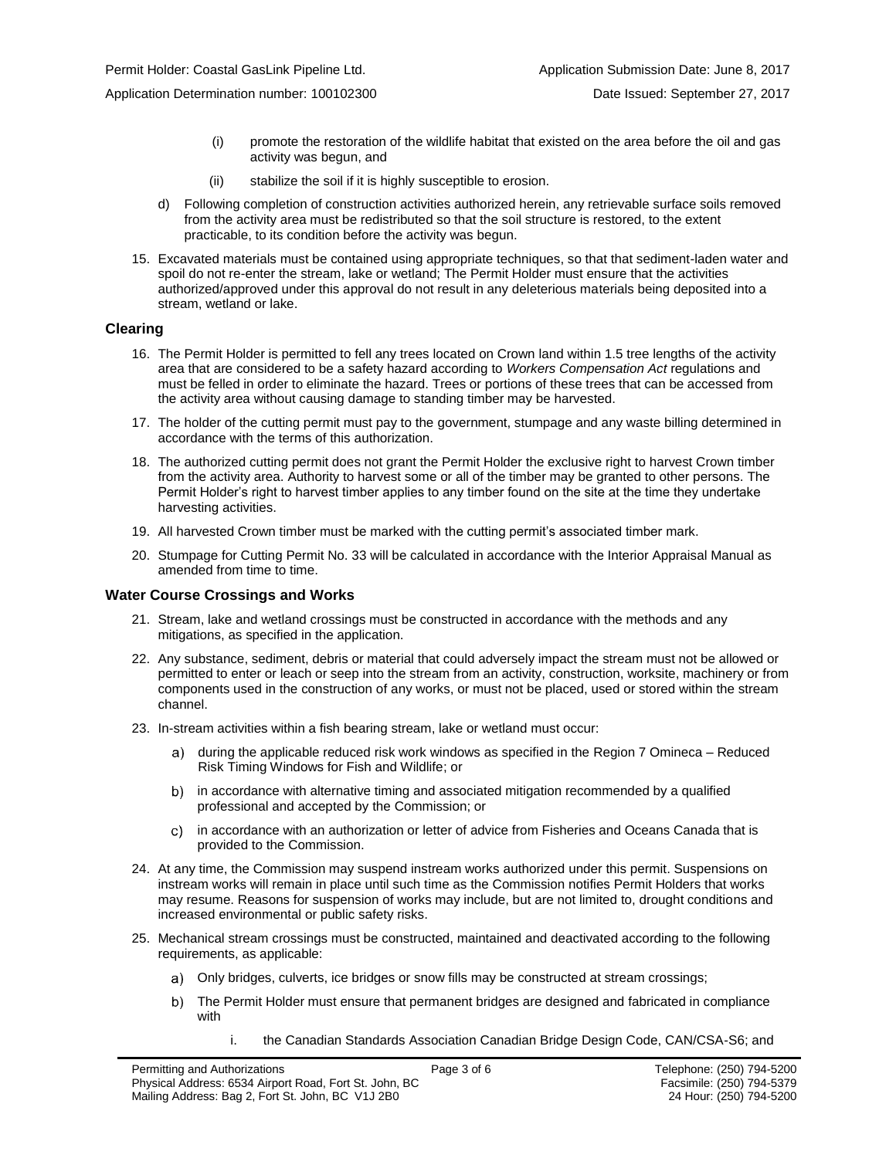Application Determination number: 100102300 Date Issued: September 27, 2017

- (i) promote the restoration of the wildlife habitat that existed on the area before the oil and gas activity was begun, and
- (ii) stabilize the soil if it is highly susceptible to erosion.
- d) Following completion of construction activities authorized herein, any retrievable surface soils removed from the activity area must be redistributed so that the soil structure is restored, to the extent practicable, to its condition before the activity was begun.
- 15. Excavated materials must be contained using appropriate techniques, so that that sediment-laden water and spoil do not re-enter the stream, lake or wetland; The Permit Holder must ensure that the activities authorized/approved under this approval do not result in any deleterious materials being deposited into a stream, wetland or lake.

#### **Clearing**

- 16. The Permit Holder is permitted to fell any trees located on Crown land within 1.5 tree lengths of the activity area that are considered to be a safety hazard according to *Workers Compensation Act* regulations and must be felled in order to eliminate the hazard. Trees or portions of these trees that can be accessed from the activity area without causing damage to standing timber may be harvested.
- 17. The holder of the cutting permit must pay to the government, stumpage and any waste billing determined in accordance with the terms of this [authorization.](#page-2-0)
- 18. The [authorized](#page-2-0) cutting permit does not grant the Permit Holder the exclusive right to harvest Crown timber from the activity area. Authority to harvest some or all of the timber may be granted to other persons. The Permit Holder's right to harvest timber applies to any timber found on the site at the time they undertake harvesting activities.
- 19. All harvested Crown timber must be marked with the cutting permit's associated timber mark.
- 20. Stumpage for Cutting Permit No. 33 will be calculated in accordance with the Interior Appraisal Manual as amended from time to time.

#### **Water Course Crossings and Works**

- 21. Stream, lake and wetland crossings must be constructed in accordance with the methods and any mitigations, as specified in the application.
- 22. Any substance, sediment, debris or material that could adversely impact the stream must not be allowed or permitted to enter or leach or seep into the stream from an activity, construction, worksite, machinery or from components used in the construction of any works, or must not be placed, used or stored within the stream channel.
- 23. In-stream activities within a fish bearing stream, lake or wetland must occur:
	- [during the applicable reduced risk work windows as specified in the](#page-2-0) Region 7 Omineca Reduced a) — Risk Timing Windows for Fish and Wildlife; or
	- b) in accordance with alternative timing and associated mitigation recommended by a qualified professional and accepted b[y the C](#page-2-0)ommission; or
	- in accordance with an authorization or letter of advice from Fisheries and Oceans Canada that is  $\mathsf{C}$ provided to the Commission.
- 24. At any time, the Commission may suspend instream works [authorized](#page-2-0) under this permit. Suspensions on instream works will remain in place until such time as the Commission notifies Permit Holders that works may resume. Reasons for suspension of works may include, but are not limited to, drought conditions and increased environmental or public safety risks.
- 25. Mechanical stream crossings must be constructed, maintained and deactivated according to the following requirements, as applicable:
	- Only bridges, culverts, ice bridges or snow fills may be constructed at stream crossings;
	- The Permit Holder must ensure that permanent bridges are designed and fabricated in compliance with
		- i. the Canadian Standards Association Canadian Bridge Design Code, CAN/CSA-S6; and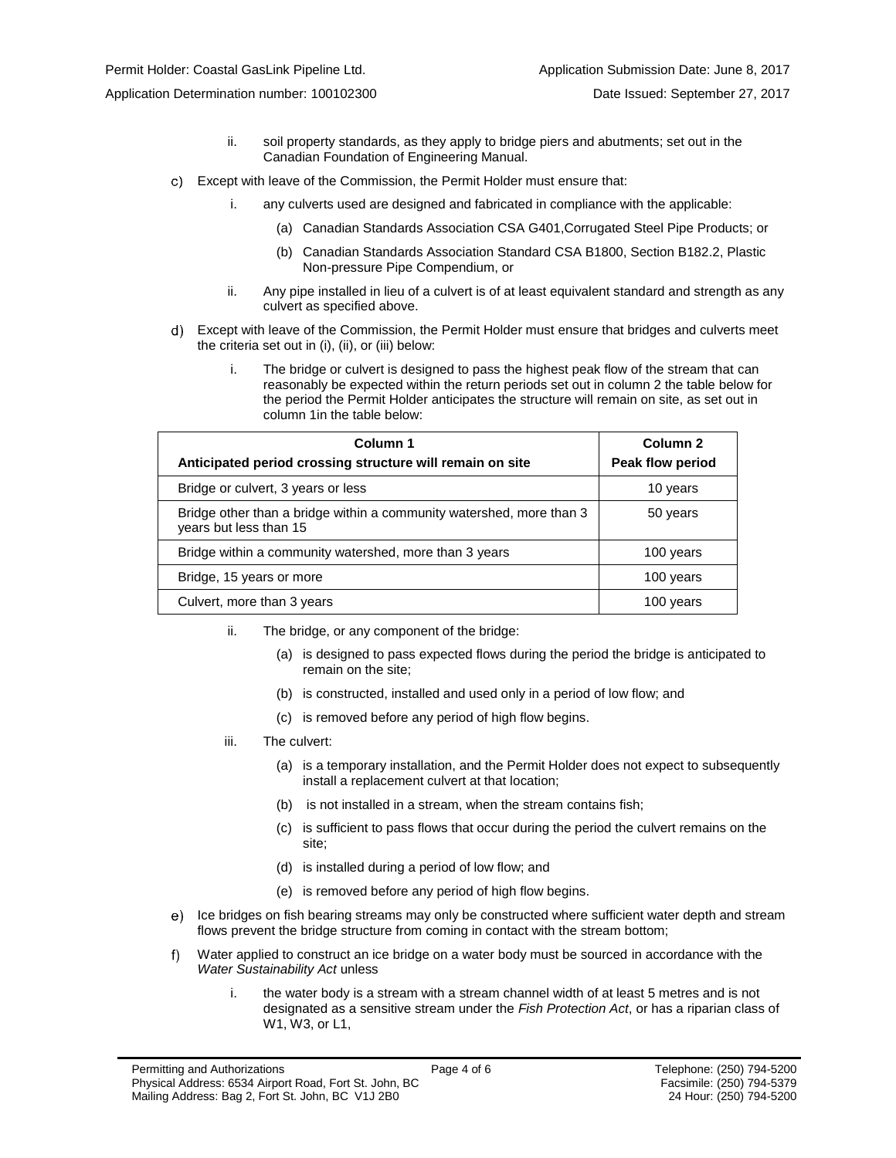Application Determination number: 100102300 Date Issued: September 27, 2017

- ii. soil property standards, as they apply to bridge piers and abutments; set out in the Canadian Foundation of Engineering Manual.
- Except with leave of the Commission, the Permit Holder must ensure that:
	- i. any culverts used are designed and fabricated in compliance with the applicable:
		- (a) Canadian Standards Association CSA G401,Corrugated Steel Pipe Products; or
		- (b) Canadian Standards Association Standard CSA B1800, Section B182.2, Plastic Non-pressure Pipe Compendium, or
	- ii. Any pipe installed in lieu of a culvert is of at least equivalent standard and strength as any culvert as specified above.
- Except with leave of the Commission, the Permit Holder must ensure that bridges and culverts meet the criteria set out in (i), (ii), or (iii) below:
	- i. The bridge or culvert is designed to pass the highest peak flow of the stream that can reasonably be expected within the return periods set out in column 2 the table below for the period the Permit Holder anticipates the structure will remain on site, as set out in column 1in the table below:

| Column 1<br>Anticipated period crossing structure will remain on site                          | Column 2<br>Peak flow period |
|------------------------------------------------------------------------------------------------|------------------------------|
| Bridge or culvert, 3 years or less                                                             | 10 years                     |
| Bridge other than a bridge within a community watershed, more than 3<br>years but less than 15 | 50 years                     |
| Bridge within a community watershed, more than 3 years                                         | 100 years                    |
| Bridge, 15 years or more                                                                       | 100 years                    |
| Culvert, more than 3 years                                                                     | 100 years                    |

- ii. The bridge, or any component of the bridge:
	- (a) is designed to pass expected flows during the period the bridge is anticipated to remain on the site;
	- (b) is constructed, installed and used only in a period of low flow; and
	- (c) is removed before any period of high flow begins.
- iii. The culvert:
	- (a) is a temporary installation, and the Permit Holder does not expect to subsequently install a replacement culvert at that location;
	- (b) is not installed in a stream, when the stream contains fish;
	- (c) is sufficient to pass flows that occur during the period the culvert remains on the site;
	- (d) is installed during a period of low flow; and
	- (e) is removed before any period of high flow begins.
- e) Ice bridges on fish bearing streams may only be constructed where sufficient water depth and stream flows prevent the bridge structure from coming in contact with the stream bottom;
- Water applied to construct an ice bridge on a water body must be sourced in accordance with the f) *Water Sustainability Act* unless
	- i. the water body is a stream with a stream channel width of at least 5 metres and is not designated as a sensitive stream under the *Fish Protection Act*, or has a riparian class of W1, W3, or L1,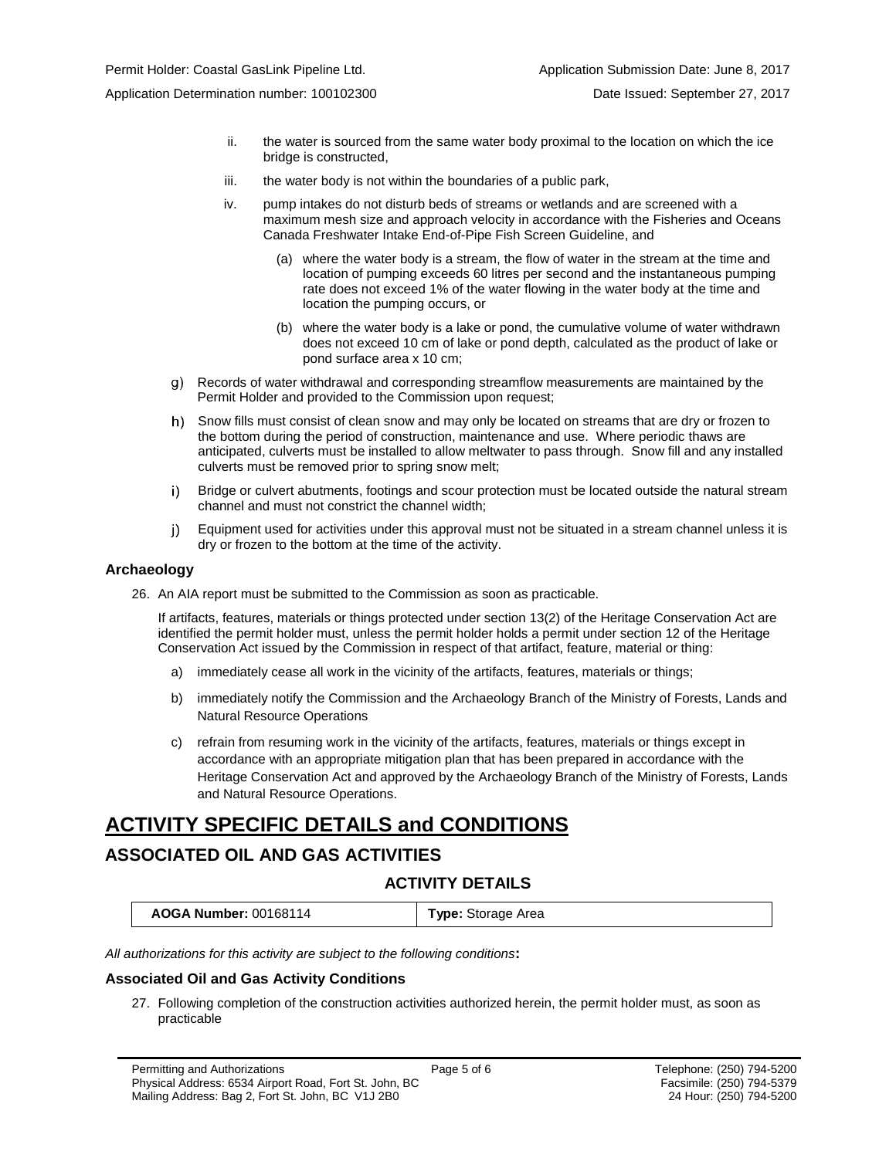- ii. the water is sourced from the same water body proximal to the location on which the ice bridge is constructed,
- iii. the water body is not within the boundaries of a public park,
- iv. pump intakes do not disturb beds of streams or wetlands and are screened with a maximum mesh size and approach velocity in accordance with the Fisheries and Oceans Canada Freshwater Intake End-of-Pipe Fish Screen Guideline, and
	- (a) where the water body is a stream, the flow of water in the stream at the time and location of pumping exceeds 60 litres per second and the instantaneous pumping rate does not exceed 1% of the water flowing in the water body at the time and location the pumping occurs, or
	- (b) where the water body is a lake or pond, the cumulative volume of water withdrawn does not exceed 10 cm of lake or pond depth, calculated as the product of lake or pond surface area x 10 cm;
- Records of water withdrawal and corresponding streamflow measurements are maintained by the Permit Holder and provided to the Commission upon request;
- h) Snow fills must consist of clean snow and may only be located on streams that are dry or frozen to the bottom during the period of construction, maintenance and use. Where periodic thaws are anticipated, culverts must be installed to allow meltwater to pass through. Snow fill and any installed culverts must be removed prior to spring snow melt;
- i) Bridge or culvert abutments, footings and scour protection must be located outside the natural stream channel and must not constrict the channel width;
- Equipment used for activities under this approval must not be situated in a stream channel unless it is  $j$ ) dry or frozen to the bottom at the time of the activity.

#### **Archaeology**

26. An AIA report must be submitted to the Commission as soon as practicable.

If artifacts, features, materials or things protected under section 13(2) of the Heritage Conservation Act are identified the permit holder must, unless the permit holder holds a permit under section 12 of the Heritage Conservation Act issued by the Commission in respect of that artifact, feature, material or thing:

- a) immediately cease all work in the vicinity of the artifacts, features, materials or things;
- b) immediately notify the Commission and the Archaeology Branch of the Ministry of Forests, Lands and Natural Resource Operations
- c) refrain from resuming work in the vicinity of the artifacts, features, materials or things except in accordance with an appropriate mitigation plan that has been prepared in accordance with the Heritage Conservation Act and approved by the Archaeology Branch of the Ministry of Forests, Lands and Natural Resource Operations.

# **ACTIVITY SPECIFIC DETAILS and CONDITIONS**

## **ASSOCIATED OIL AND GAS ACTIVITIES**

## **ACTIVITY DETAILS**

| <b>AOGA Number: 00168114</b><br><b>Type:</b> Storage Area |
|-----------------------------------------------------------|
|-----------------------------------------------------------|

*All authorizations for this activity are subject to the following conditions***:**

#### **Associated Oil and Gas Activity Conditions**

27. Following completion of the construction activities authorized herein, the permit holder must, as soon as practicable